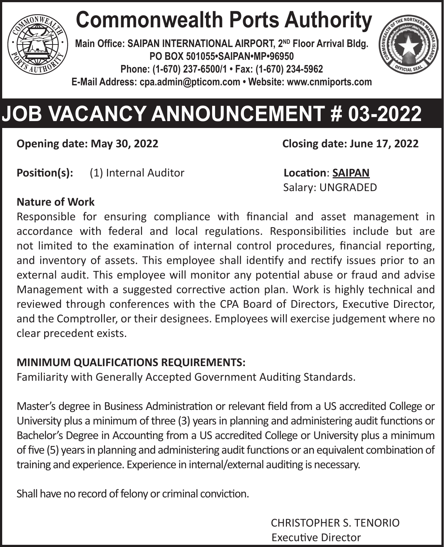

# **Commonwealth Ports Authority**

**Main Office: SAIPAN INTERNATIONAL AIRPORT, 2ND Floor Arrival Bldg. PO BOX 501055•SAIPAN•MP•96950 Phone: (1-670) 237-6500/1 • Fax: (1-670) 234-5962 E-Mail Address: cpa.admin@pticom.com • Website: www.cnmiports.com**



# **JOB VACANCY ANNOUNCEMENT # 03-2022**

**Opening date: May 30, 2022 Closing date: June 17, 2022**

**Position(s):** (1) Internal Auditor **Location**: **SAIPAN**

Salary: UNGRADED

#### **Nature of Work**

Responsible for ensuring compliance with financial and asset management in accordance with federal and local regulations. Responsibilities include but are not limited to the examination of internal control procedures, financial reporting, and inventory of assets. This employee shall identify and rectify issues prior to an external audit. This employee will monitor any potential abuse or fraud and advise Management with a suggested corrective action plan. Work is highly technical and reviewed through conferences with the CPA Board of Directors, Executive Director, and the Comptroller, or their designees. Employees will exercise judgement where no clear precedent exists.

#### **MINIMUM QUALIFICATIONS REQUIREMENTS:**

Familiarity with Generally Accepted Government Auditing Standards.

Master's degree in Business Administration or relevant field from a US accredited College or University plus a minimum of three (3) years in planning and administering audit functions or Bachelor's Degree in Accounting from a US accredited College or University plus a minimum of five (5) years in planning and administering audit functions or an equivalent combination of training and experience. Experience in internal/external auditing is necessary.

Shall have no record of felony or criminal conviction.

CHRISTOPHER S. TENORIO Executive Director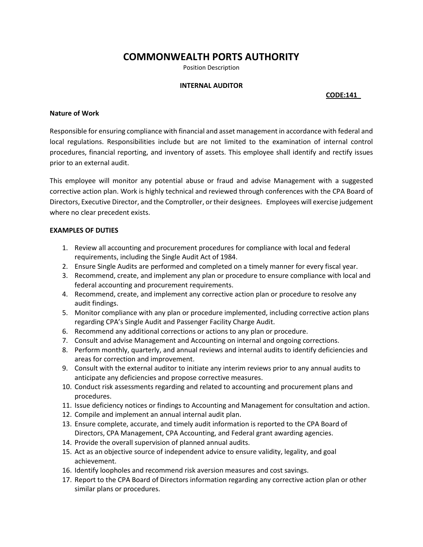## **COMMONWEALTH PORTS AUTHORITY**

Position Description

### **INTERNAL AUDITOR**

## **CODE:141\_**

### **Nature of Work**

Responsible for ensuring compliance with financial and asset management in accordance with federal and local regulations. Responsibilities include but are not limited to the examination of internal control procedures, financial reporting, and inventory of assets. This employee shall identify and rectify issues prior to an external audit.

This employee will monitor any potential abuse or fraud and advise Management with a suggested corrective action plan. Work is highly technical and reviewed through conferences with the CPA Board of Directors, Executive Director, and the Comptroller, or their designees. Employees will exercise judgement where no clear precedent exists.

### **EXAMPLES OF DUTIES**

- 1. Review all accounting and procurement procedures for compliance with local and federal requirements, including the Single Audit Act of 1984.
- 2. Ensure Single Audits are performed and completed on a timely manner for every fiscal year.
- 3. Recommend, create, and implement any plan or procedure to ensure compliance with local and federal accounting and procurement requirements.
- 4. Recommend, create, and implement any corrective action plan or procedure to resolve any audit findings.
- 5. Monitor compliance with any plan or procedure implemented, including corrective action plans regarding CPA's Single Audit and Passenger Facility Charge Audit.
- 6. Recommend any additional corrections or actions to any plan or procedure.
- 7. Consult and advise Management and Accounting on internal and ongoing corrections.
- 8. Perform monthly, quarterly, and annual reviews and internal audits to identify deficiencies and areas for correction and improvement.
- 9. Consult with the external auditor to initiate any interim reviews prior to any annual audits to anticipate any deficiencies and propose corrective measures.
- 10. Conduct risk assessments regarding and related to accounting and procurement plans and procedures.
- 11. Issue deficiency notices or findings to Accounting and Management for consultation and action.
- 12. Compile and implement an annual internal audit plan.
- 13. Ensure complete, accurate, and timely audit information is reported to the CPA Board of Directors, CPA Management, CPA Accounting, and Federal grant awarding agencies.
- 14. Provide the overall supervision of planned annual audits.
- 15. Act as an objective source of independent advice to ensure validity, legality, and goal achievement.
- 16. Identify loopholes and recommend risk aversion measures and cost savings.
- 17. Report to the CPA Board of Directors information regarding any corrective action plan or other similar plans or procedures.